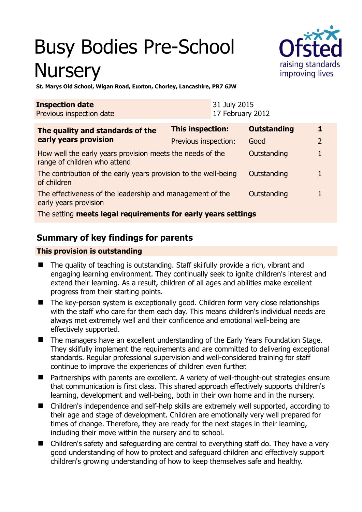# Busy Bodies Pre-School **Nursery**



**St. Marys Old School, Wigan Road, Euxton, Chorley, Lancashire, PR7 6JW** 

| <b>Inspection date</b><br>Previous inspection date                                        |                         | 31 July 2015<br>17 February 2012 |                    |                |
|-------------------------------------------------------------------------------------------|-------------------------|----------------------------------|--------------------|----------------|
| The quality and standards of the<br>early years provision                                 | <b>This inspection:</b> |                                  | <b>Outstanding</b> |                |
|                                                                                           | Previous inspection:    |                                  | Good               | $\overline{2}$ |
| How well the early years provision meets the needs of the<br>range of children who attend |                         |                                  | Outstanding        | 1              |
| The contribution of the early years provision to the well-being<br>of children            |                         |                                  | Outstanding        |                |
| The effectiveness of the leadership and management of the<br>early years provision        |                         |                                  | Outstanding        |                |
| The setting meets legal requirements for early years settings                             |                         |                                  |                    |                |

## **Summary of key findings for parents**

#### **This provision is outstanding**

- The quality of teaching is outstanding. Staff skilfully provide a rich, vibrant and engaging learning environment. They continually seek to ignite children's interest and extend their learning. As a result, children of all ages and abilities make excellent progress from their starting points.
- The key-person system is exceptionally good. Children form very close relationships with the staff who care for them each day. This means children's individual needs are always met extremely well and their confidence and emotional well-being are effectively supported.
- The managers have an excellent understanding of the Early Years Foundation Stage. They skilfully implement the requirements and are committed to delivering exceptional standards. Regular professional supervision and well-considered training for staff continue to improve the experiences of children even further.
- Partnerships with parents are excellent. A variety of well-thought-out strategies ensure that communication is first class. This shared approach effectively supports children's learning, development and well-being, both in their own home and in the nursery.
- Children's independence and self-help skills are extremely well supported, according to their age and stage of development. Children are emotionally very well prepared for times of change. Therefore, they are ready for the next stages in their learning, including their move within the nursery and to school.
- Children's safety and safeguarding are central to everything staff do. They have a very good understanding of how to protect and safeguard children and effectively support children's growing understanding of how to keep themselves safe and healthy.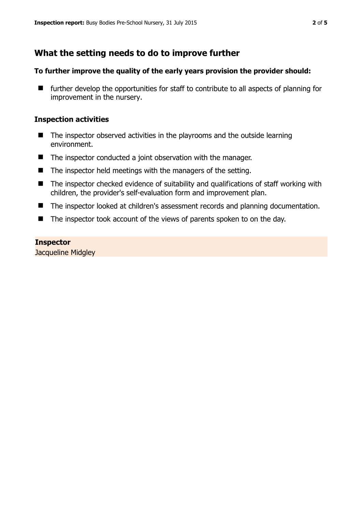## **What the setting needs to do to improve further**

#### **To further improve the quality of the early years provision the provider should:**

 $\blacksquare$  further develop the opportunities for staff to contribute to all aspects of planning for improvement in the nursery.

#### **Inspection activities**

- $\blacksquare$  The inspector observed activities in the playrooms and the outside learning environment.
- The inspector conducted a joint observation with the manager.
- $\blacksquare$  The inspector held meetings with the managers of the setting.
- The inspector checked evidence of suitability and qualifications of staff working with children, the provider's self-evaluation form and improvement plan.
- The inspector looked at children's assessment records and planning documentation.
- The inspector took account of the views of parents spoken to on the day.

#### **Inspector**

Jacqueline Midgley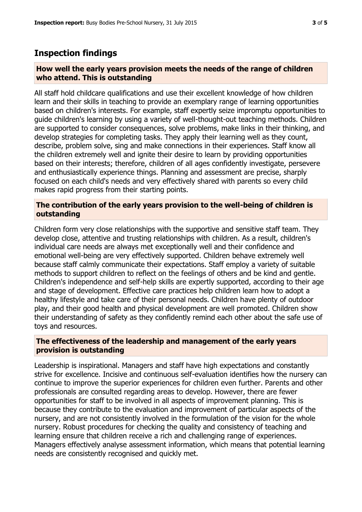### **Inspection findings**

#### **How well the early years provision meets the needs of the range of children who attend. This is outstanding**

All staff hold childcare qualifications and use their excellent knowledge of how children learn and their skills in teaching to provide an exemplary range of learning opportunities based on children's interests. For example, staff expertly seize impromptu opportunities to guide children's learning by using a variety of well-thought-out teaching methods. Children are supported to consider consequences, solve problems, make links in their thinking, and develop strategies for completing tasks. They apply their learning well as they count, describe, problem solve, sing and make connections in their experiences. Staff know all the children extremely well and ignite their desire to learn by providing opportunities based on their interests; therefore, children of all ages confidently investigate, persevere and enthusiastically experience things. Planning and assessment are precise, sharply focused on each child's needs and very effectively shared with parents so every child makes rapid progress from their starting points.

#### **The contribution of the early years provision to the well-being of children is outstanding**

Children form very close relationships with the supportive and sensitive staff team. They develop close, attentive and trusting relationships with children. As a result, children's individual care needs are always met exceptionally well and their confidence and emotional well-being are very effectively supported. Children behave extremely well because staff calmly communicate their expectations. Staff employ a variety of suitable methods to support children to reflect on the feelings of others and be kind and gentle. Children's independence and self-help skills are expertly supported, according to their age and stage of development. Effective care practices help children learn how to adopt a healthy lifestyle and take care of their personal needs. Children have plenty of outdoor play, and their good health and physical development are well promoted. Children show their understanding of safety as they confidently remind each other about the safe use of toys and resources.

#### **The effectiveness of the leadership and management of the early years provision is outstanding**

Leadership is inspirational. Managers and staff have high expectations and constantly strive for excellence. Incisive and continuous self-evaluation identifies how the nursery can continue to improve the superior experiences for children even further. Parents and other professionals are consulted regarding areas to develop. However, there are fewer opportunities for staff to be involved in all aspects of improvement planning. This is because they contribute to the evaluation and improvement of particular aspects of the nursery, and are not consistently involved in the formulation of the vision for the whole nursery. Robust procedures for checking the quality and consistency of teaching and learning ensure that children receive a rich and challenging range of experiences. Managers effectively analyse assessment information, which means that potential learning needs are consistently recognised and quickly met.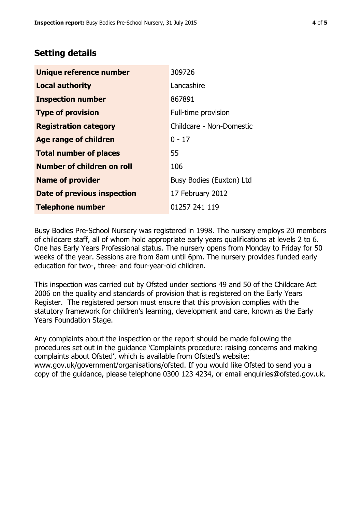## **Setting details**

| Unique reference number       | 309726                   |  |
|-------------------------------|--------------------------|--|
| <b>Local authority</b>        | Lancashire               |  |
| <b>Inspection number</b>      | 867891                   |  |
| <b>Type of provision</b>      | Full-time provision      |  |
| <b>Registration category</b>  | Childcare - Non-Domestic |  |
| Age range of children         | $0 - 17$                 |  |
| <b>Total number of places</b> | 55                       |  |
| Number of children on roll    | 106                      |  |
| <b>Name of provider</b>       | Busy Bodies (Euxton) Ltd |  |
| Date of previous inspection   | 17 February 2012         |  |
| <b>Telephone number</b>       | 01257 241 119            |  |

Busy Bodies Pre-School Nursery was registered in 1998. The nursery employs 20 members of childcare staff, all of whom hold appropriate early years qualifications at levels 2 to 6. One has Early Years Professional status. The nursery opens from Monday to Friday for 50 weeks of the year. Sessions are from 8am until 6pm. The nursery provides funded early education for two-, three- and four-year-old children.

This inspection was carried out by Ofsted under sections 49 and 50 of the Childcare Act 2006 on the quality and standards of provision that is registered on the Early Years Register. The registered person must ensure that this provision complies with the statutory framework for children's learning, development and care, known as the Early Years Foundation Stage.

Any complaints about the inspection or the report should be made following the procedures set out in the guidance 'Complaints procedure: raising concerns and making complaints about Ofsted', which is available from Ofsted's website: www.gov.uk/government/organisations/ofsted. If you would like Ofsted to send you a copy of the guidance, please telephone 0300 123 4234, or email enquiries@ofsted.gov.uk.